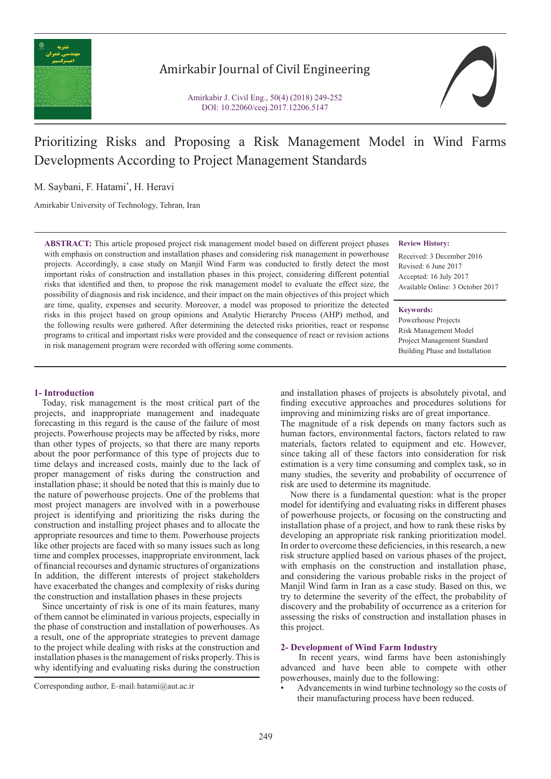

# Amirkabir Journal of Civil Engineering

Amirkabir J. Civil Eng., 50(4) (2018) 249-252 DOI: 10.22060/ceej.2017.12206.5147



# Prioritizing Risks and Proposing a Risk Management Model in Wind Farms Developments According to Project Management Standards

M. Saybani, F. Hatami\* , H. Heravi

Amirkabir University of Technology, Tehran, Iran

**ABSTRACT:** This article proposed project risk management model based on different project phases with emphasis on construction and installation phases and considering risk management in powerhouse projects. Accordingly, a case study on Manjil Wind Farm was conducted to firstly detect the most important risks of construction and installation phases in this project, considering different potential risks that identified and then, to propose the risk management model to evaluate the effect size, the possibility of diagnosis and risk incidence, and their impact on the main objectives of this project which are time, quality, expenses and security. Moreover, a model was proposed to prioritize the detected risks in this project based on group opinions and Analytic Hierarchy Process (AHP) method, and the following results were gathered. After determining the detected risks priorities, react or response programs to critical and important risks were provided and the consequence of react or revision actions in risk management program were recorded with offering some comments.

#### **Review History:**

Received: 3 December 2016 Revised: 6 June 2017 Accepted: 16 July 2017 Available Online: 3 October 2017

**Keywords:** Powerhouse Projects Risk Management Model Project Management Standard Building Phase and Installation

### **1- Introduction**

 Today, risk management is the most critical part of the projects, and inappropriate management and inadequate forecasting in this regard is the cause of the failure of most projects. Powerhouse projects may be affected by risks, more than other types of projects, so that there are many reports about the poor performance of this type of projects due to time delays and increased costs, mainly due to the lack of proper management of risks during the construction and installation phase; it should be noted that this is mainly due to the nature of powerhouse projects. One of the problems that most project managers are involved with in a powerhouse project is identifying and prioritizing the risks during the construction and installing project phases and to allocate the appropriate resources and time to them. Powerhouse projects like other projects are faced with so many issues such as long time and complex processes, inappropriate environment, lack of financial recourses and dynamic structures of organizations In addition, the different interests of project stakeholders have exacerbated the changes and complexity of risks during the construction and installation phases in these projects

 Since uncertainty of risk is one of its main features, many of them cannot be eliminated in various projects, especially in the phase of construction and installation of powerhouses. As a result, one of the appropriate strategies to prevent damage to the project while dealing with risks at the construction and installation phases is the management of risks properly. This is why identifying and evaluating risks during the construction

and installation phases of projects is absolutely pivotal, and finding executive approaches and procedures solutions for improving and minimizing risks are of great importance.

The magnitude of a risk depends on many factors such as human factors, environmental factors, factors related to raw materials, factors related to equipment and etc. However, since taking all of these factors into consideration for risk estimation is a very time consuming and complex task, so in many studies, the severity and probability of occurrence of risk are used to determine its magnitude.

 Now there is a fundamental question: what is the proper model for identifying and evaluating risks in different phases of powerhouse projects, or focusing on the constructing and installation phase of a project, and how to rank these risks by developing an appropriate risk ranking prioritization model. In order to overcome these deficiencies, in this research, a new risk structure applied based on various phases of the project, with emphasis on the construction and installation phase, and considering the various probable risks in the project of Manjil Wind farm in Iran as a case study. Based on this, we try to determine the severity of the effect, the probability of discovery and the probability of occurrence as a criterion for assessing the risks of construction and installation phases in this project.

#### **2- Development of Wind Farm Industry**

 In recent years, wind farms have been astonishingly advanced and have been able to compete with other powerhouses, mainly due to the following:

• Advancements in wind turbine technology so the costs of their manufacturing process have been reduced.

Corresponding author, E-mail: hatami@aut.ac.ir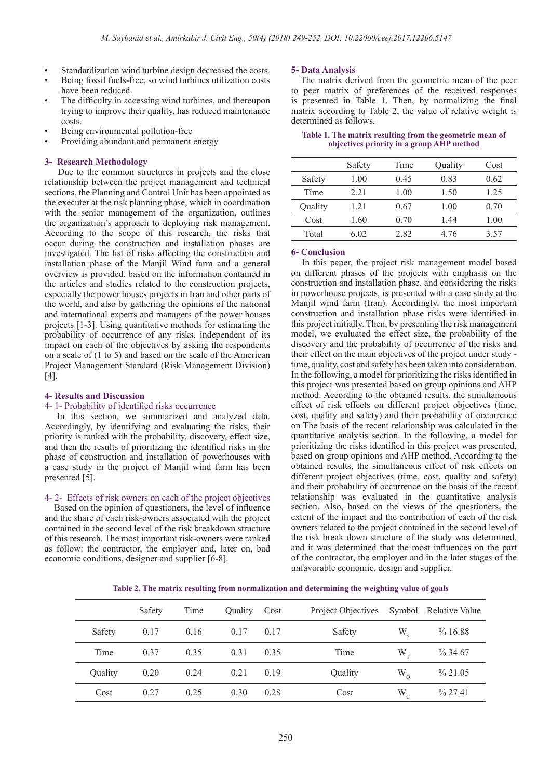- Standardization wind turbine design decreased the costs.
- Being fossil fuels-free, so wind turbines utilization costs have been reduced.
- The difficulty in accessing wind turbines, and thereupon trying to improve their quality, has reduced maintenance costs.
- Being environmental pollution-free
- Providing abundant and permanent energy

#### **3- Research Methodology**

 Due to the common structures in projects and the close relationship between the project management and technical sections, the Planning and Control Unit has been appointed as the executer at the risk planning phase, which in coordination with the senior management of the organization, outlines the organization's approach to deploying risk management. According to the scope of this research, the risks that occur during the construction and installation phases are investigated. The list of risks affecting the construction and installation phase of the Manjil Wind farm and a general overview is provided, based on the information contained in the articles and studies related to the construction projects, especially the power houses projects in Iran and other parts of the world, and also by gathering the opinions of the national and international experts and managers of the power houses projects [1-3]. Using quantitative methods for estimating the probability of occurrence of any risks, independent of its impact on each of the objectives by asking the respondents on a scale of (1 to 5) and based on the scale of the American Project Management Standard (Risk Management Division) [4].

#### **4- Results and Discussion**

#### 4- 1- Probability of identified risks occurrence

 In this section, we summarized and analyzed data. Accordingly, by identifying and evaluating the risks, their priority is ranked with the probability, discovery, effect size, and then the results of prioritizing the identified risks in the phase of construction and installation of powerhouses with a case study in the project of Manjil wind farm has been presented [5].

#### 4- 2- Effects of risk owners on each of the project objectives

 Based on the opinion of questioners, the level of influence and the share of each risk-owners associated with the project contained in the second level of the risk breakdown structure of this research. The most important risk-owners were ranked as follow: the contractor, the employer and, later on, bad economic conditions, designer and supplier [6-8].

#### **5- Data Analysis**

 The matrix derived from the geometric mean of the peer to peer matrix of preferences of the received responses is presented in Table 1. Then, by normalizing the final matrix according to Table 2, the value of relative weight is determined as follows.

**Table 1. The matrix resulting from the geometric mean of objectives priority in a group AHP method**

|         | Safety | Time | Quality | Cost |
|---------|--------|------|---------|------|
| Safety  | 1.00   | 0.45 | 0.83    | 0.62 |
| Time    | 2.21   | 1.00 | 1.50    | 1.25 |
| Quality | 1 21   | 0.67 | 1.00    | 0.70 |
| Cost    | 1.60   | 0.70 | 144     | 1.00 |
| Total   | 6.02   | 282  | 4 76    | 3.57 |

#### **6- Conclusion**

 In this paper, the project risk management model based on different phases of the projects with emphasis on the construction and installation phase, and considering the risks in powerhouse projects, is presented with a case study at the Manjil wind farm (Iran). Accordingly, the most important construction and installation phase risks were identified in this project initially. Then, by presenting the risk management model, we evaluated the effect size, the probability of the discovery and the probability of occurrence of the risks and their effect on the main objectives of the project under study time, quality, cost and safety has been taken into consideration. In the following, a model for prioritizing the risks identified in this project was presented based on group opinions and AHP method. According to the obtained results, the simultaneous effect of risk effects on different project objectives (time, cost, quality and safety) and their probability of occurrence on The basis of the recent relationship was calculated in the quantitative analysis section. In the following, a model for prioritizing the risks identified in this project was presented, based on group opinions and AHP method. According to the obtained results, the simultaneous effect of risk effects on different project objectives (time, cost, quality and safety) and their probability of occurrence on the basis of the recent relationship was evaluated in the quantitative analysis section. Also, based on the views of the questioners, the extent of the impact and the contribution of each of the risk owners related to the project contained in the second level of the risk break down structure of the study was determined, and it was determined that the most influences on the part of the contractor, the employer and in the later stages of the unfavorable economic, design and supplier.

| Table 2. The matrix resulting from normalization and determining the weighting value of goals |  |  |
|-----------------------------------------------------------------------------------------------|--|--|
|                                                                                               |  |  |

|         | Safety | Time | Ouality     | Cost | Project Objectives Symbol Relative Value |             |            |
|---------|--------|------|-------------|------|------------------------------------------|-------------|------------|
| Safety  | 0.17   | 0.16 | $0.17$ 0.17 |      | Safety                                   | W           | %16.88     |
| Time    | 0.37   | 0.35 | 0.31        | 0.35 | Time                                     | $W_{\tau}$  | $\%$ 34.67 |
| Quality | 0.20   | 0.24 | 0.21        | 0.19 | Quality                                  | $W_{\rm o}$ | $\%$ 21.05 |
| Cost    | 0.27   | 0.25 | 0.30        | 0.28 | Cost                                     | $W_c$       | $\%$ 27.41 |